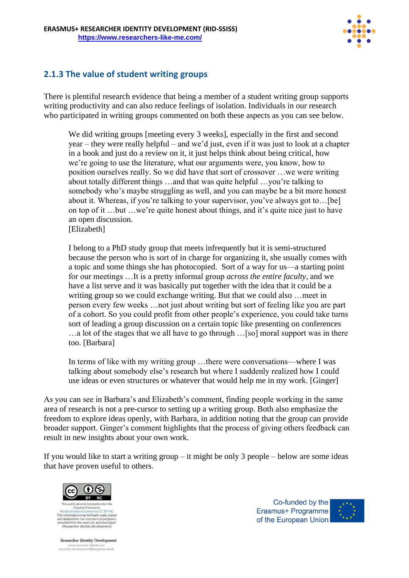

## **2.1.3 The value of student writing groups**

There is plentiful research evidence that being a member of a student writing group supports writing productivity and can also reduce feelings of isolation. Individuals in our research who participated in writing groups commented on both these aspects as you can see below.

We did writing groups [meeting every 3 weeks], especially in the first and second year – they were really helpful – and we'd just, even if it was just to look at a chapter in a book and just do a review on it, it just helps think about being critical, how we're going to use the literature, what our arguments were, you know, how to position ourselves really. So we did have that sort of crossover …we were writing about totally different things …and that was quite helpful …you're talking to somebody who's maybe struggling as well, and you can maybe be a bit more honest about it. Whereas, if you're talking to your supervisor, you've always got to...[be] on top of it …but …we're quite honest about things, and it's quite nice just to have an open discussion. [Elizabeth]

I belong to a PhD study group that meets infrequently but it is semi-structured because the person who is sort of in charge for organizing it, she usually comes with a topic and some things she has photocopied. Sort of a way for us—a starting point for our meetings …It is a pretty informal group *across the entire faculty*, and we have a list serve and it was basically put together with the idea that it could be a writing group so we could exchange writing. But that we could also …meet in person every few weeks …not just about writing but sort of feeling like you are part of a cohort. So you could profit from other people's experience, you could take turns sort of leading a group discussion on a certain topic like presenting on conferences …a lot of the stages that we all have to go through …[so] moral support was in there too. [Barbara]

In terms of like with my writing group …there were conversations—where I was talking about somebody else's research but where I suddenly realized how I could use ideas or even structures or whatever that would help me in my work. [Ginger]

As you can see in Barbara's and Elizabeth's comment, finding people working in the same area of research is not a pre-cursor to setting up a writing group. Both also emphasize the freedom to explore ideas openly, with Barbara, in addition noting that the group can provide broader support. Ginger's comment highlights that the process of giving others feedback can result in new insights about your own work.

If you would like to start a writing group – it might be only 3 people – below are some ideas that have proven useful to others.



Creative Commo This information may be freely used, copied and adapted for non-commercial purp provided that the source is acknowledged<br>(Researcher Identity Development).

Researcher Identity Development www.researcher-identity.com<br>researcher-development@blanquerna.url.edu

Co-funded by the Erasmus+ Programme of the European Union

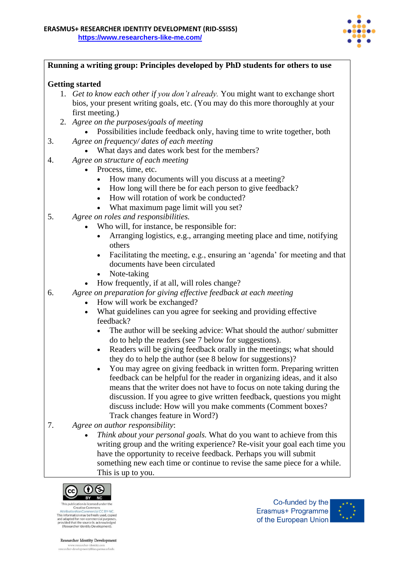

| Running a writing group: Principles developed by PhD students for others to use                                                                                                                                                                                                                                                                                                                      |
|------------------------------------------------------------------------------------------------------------------------------------------------------------------------------------------------------------------------------------------------------------------------------------------------------------------------------------------------------------------------------------------------------|
| <b>Getting started</b>                                                                                                                                                                                                                                                                                                                                                                               |
| 1. Get to know each other if you don't already. You might want to exchange short<br>bios, your present writing goals, etc. (You may do this more thoroughly at your<br>first meeting.)                                                                                                                                                                                                               |
| 2. Agree on the purposes/goals of meeting<br>Possibilities include feedback only, having time to write together, both                                                                                                                                                                                                                                                                                |
| 3.<br>Agree on frequency/ dates of each meeting<br>What days and dates work best for the members?                                                                                                                                                                                                                                                                                                    |
| Agree on structure of each meeting<br>4.                                                                                                                                                                                                                                                                                                                                                             |
| Process, time, etc.<br>$\bullet$                                                                                                                                                                                                                                                                                                                                                                     |
| How many documents will you discuss at a meeting?<br>$\bullet$<br>How long will there be for each person to give feedback?<br>$\bullet$<br>How will rotation of work be conducted?<br>$\bullet$                                                                                                                                                                                                      |
| • What maximum page limit will you set?                                                                                                                                                                                                                                                                                                                                                              |
| Agree on roles and responsibilities.<br>5.                                                                                                                                                                                                                                                                                                                                                           |
| Who will, for instance, be responsible for:<br>Arranging logistics, e.g., arranging meeting place and time, notifying<br>$\bullet$                                                                                                                                                                                                                                                                   |
| others<br>Facilitating the meeting, e.g., ensuring an 'agenda' for meeting and that<br>$\bullet$<br>documents have been circulated                                                                                                                                                                                                                                                                   |
| Note-taking<br>How frequently, if at all, will roles change?<br>$\bullet$                                                                                                                                                                                                                                                                                                                            |
| Agree on preparation for giving effective feedback at each meeting<br>6.                                                                                                                                                                                                                                                                                                                             |
| How will work be exchanged?<br>$\bullet$                                                                                                                                                                                                                                                                                                                                                             |
| What guidelines can you agree for seeking and providing effective<br>$\bullet$<br>feedback?                                                                                                                                                                                                                                                                                                          |
| The author will be seeking advice: What should the author/submitter<br>do to help the readers (see 7 below for suggestions).                                                                                                                                                                                                                                                                         |
| Readers will be giving feedback orally in the meetings; what should<br>they do to help the author (see 8 below for suggestions)?                                                                                                                                                                                                                                                                     |
| You may agree on giving feedback in written form. Preparing written<br>feedback can be helpful for the reader in organizing ideas, and it also<br>means that the writer does not have to focus on note taking during the<br>discussion. If you agree to give written feedback, questions you might<br>discuss include: How will you make comments (Comment boxes?<br>Track changes feature in Word?) |
| Agree on author responsibility:<br>7.<br>Think about your personal goals. What do you want to achieve from this                                                                                                                                                                                                                                                                                      |
| writing group and the writing experience? Re-visit your goal each time you<br>have the opportunity to receive feedback. Perhaps you will submit<br>something new each time or continue to revise the same piece for a while.                                                                                                                                                                         |
| This is up to you.                                                                                                                                                                                                                                                                                                                                                                                   |
| $\left( \begin{matrix} \text{cc} \end{matrix} \right)$ $\left( \begin{matrix} 1 \\ 2 \end{matrix} \right)$                                                                                                                                                                                                                                                                                           |



 $\label{thm:optimal}$  This publication is licensed under the<br>Attribution<br>Vocative Commons I.C.  $\mathrm{E}\textsc{y}\!\times\!\textsc{NC}.$  This information may be freely used, copied<br>and adapted for non-commercial purposes, provided that the source is a

Co-funded by the Erasmus+ Programme of the European Union



Researcher Identity Development www.researcher-identity.com<br>researcher-identity.com<br>researcher-development@blanquerna.url.edu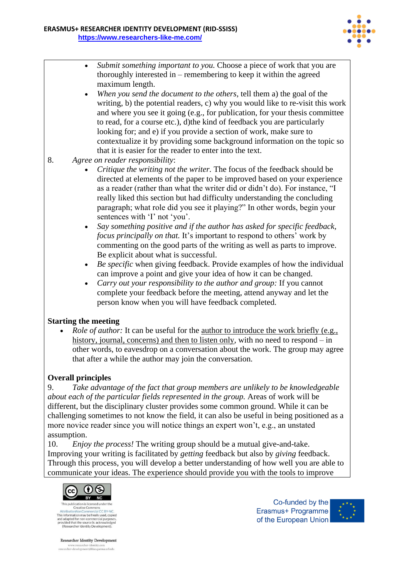

- *Submit something important to you.* Choose a piece of work that you are thoroughly interested in – remembering to keep it within the agreed maximum length.
- *When you send the document to the others*, tell them a) the goal of the writing, b) the potential readers, c) why you would like to re-visit this work and where you see it going (e.g., for publication, for your thesis committee to read, for a course etc.), d)the kind of feedback you are particularly looking for; and e) if you provide a section of work, make sure to contextualize it by providing some background information on the topic so that it is easier for the reader to enter into the text.
- 8. *Agree on reader responsibility*:
	- *Critique the writing not the writer.* The focus of the feedback should be directed at elements of the paper to be improved based on your experience as a reader (rather than what the writer did or didn't do). For instance, "I really liked this section but had difficulty understanding the concluding paragraph; what role did you see it playing?" In other words, begin your sentences with 'I' not 'you'.
	- *Say something positive and if the author has asked for specific feedback, focus principally on that.* It's important to respond to others' work by commenting on the good parts of the writing as well as parts to improve. Be explicit about what is successful.
	- *Be specific* when giving feedback. Provide examples of how the individual can improve a point and give your idea of how it can be changed.
	- *Carry out your responsibility to the author and group:* If you cannot complete your feedback before the meeting, attend anyway and let the person know when you will have feedback completed.

## **Starting the meeting**

*Role of author:* It can be useful for the author to introduce the work briefly (e.g., history, journal, concerns) and then to listen only, with no need to respond – in other words, to eavesdrop on a conversation about the work. The group may agree that after a while the author may join the conversation.

## **Overall principles**

9. *Take advantage of the fact that group members are unlikely to be knowledgeable about each of the particular fields represented in the group.* Areas of work will be different, but the disciplinary cluster provides some common ground. While it can be challenging sometimes to not know the field, it can also be useful in being positioned as a more novice reader since you will notice things an expert won't, e.g., an unstated assumption.

10. *Enjoy the process!* The writing group should be a mutual give-and-take. Improving your writing is facilitated by *getting* feedback but also by *giving* feedback. Through this process, you will develop a better understanding of how well you are able to communicate your ideas. The experience should provide you with the tools to improve



Creative Commo This information may be freely used, copied and adapted for non-commercial purp provided that the source is acknowledged<br>(Researcher Identity Development).

Researcher Identity Development www.researcher-identity.com<br>researcher-development@blanquerna.url.edu

Co-funded by the Erasmus+ Programme of the European Union